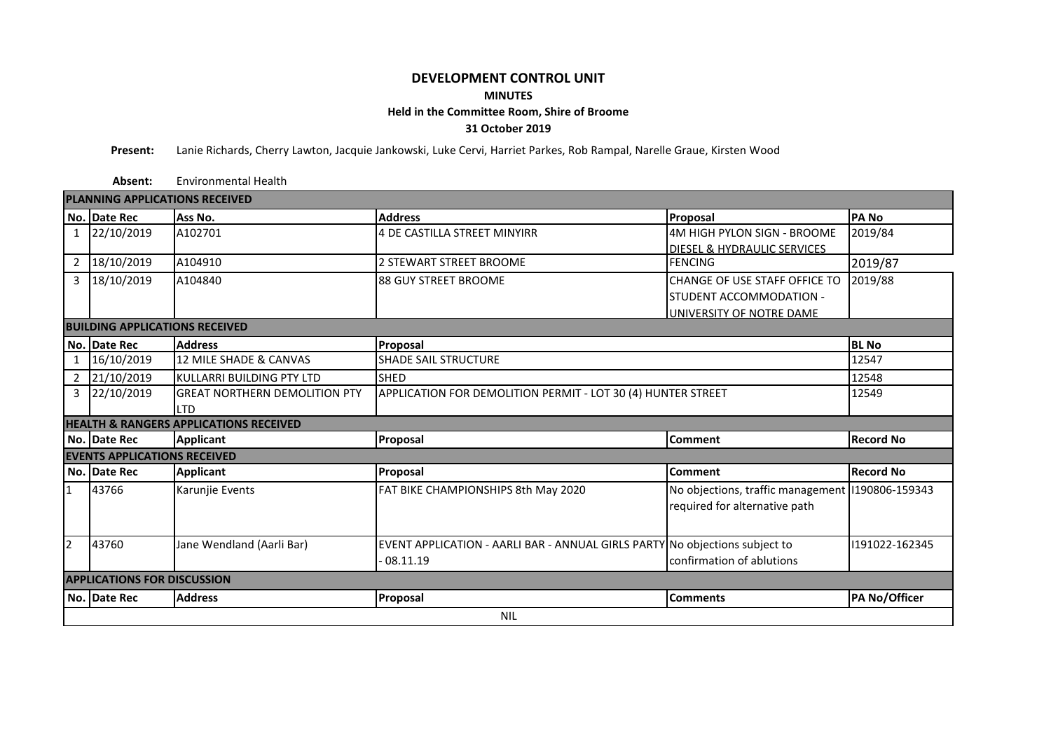## **DEVELOPMENT CONTROL UNIT MINUTES Held in the Committee Room, Shire of Broome 31 October 2019**

**Present:** Lanie Richards, Cherry Lawton, Jacquie Jankowski, Luke Cervi, Harriet Parkes, Rob Rampal, Narelle Graue, Kirsten Wood

**Absent:** Environmental Health

| <b>PLANNING APPLICATIONS RECEIVED</b>             |              |                                      |                                                                             |                                                 |                  |  |  |  |  |  |  |
|---------------------------------------------------|--------------|--------------------------------------|-----------------------------------------------------------------------------|-------------------------------------------------|------------------|--|--|--|--|--|--|
|                                                   | No. Date Rec | Ass No.                              | <b>Address</b>                                                              | Proposal                                        | <b>PANO</b>      |  |  |  |  |  |  |
| 1                                                 | 22/10/2019   | A102701                              | 4 DE CASTILLA STREET MINYIRR                                                | 4M HIGH PYLON SIGN - BROOME                     | 2019/84          |  |  |  |  |  |  |
|                                                   |              |                                      |                                                                             | DIESEL & HYDRAULIC SERVICES                     |                  |  |  |  |  |  |  |
| $\overline{2}$                                    | 18/10/2019   | A104910                              | 2 STEWART STREET BROOME                                                     | 2019/87                                         |                  |  |  |  |  |  |  |
| $\mathbf{3}$                                      | 18/10/2019   | A104840                              | I88 GUY STREET BROOME                                                       | CHANGE OF USE STAFF OFFICE TO                   | 2019/88          |  |  |  |  |  |  |
|                                                   |              |                                      |                                                                             | STUDENT ACCOMMODATION -                         |                  |  |  |  |  |  |  |
|                                                   |              |                                      |                                                                             | UNIVERSITY OF NOTRE DAME                        |                  |  |  |  |  |  |  |
| <b>BUILDING APPLICATIONS RECEIVED</b>             |              |                                      |                                                                             |                                                 |                  |  |  |  |  |  |  |
|                                                   | No. Date Rec | <b>Address</b>                       | Proposal                                                                    | <b>BL</b> No                                    |                  |  |  |  |  |  |  |
| $\mathbf{1}$                                      | 16/10/2019   | 12 MILE SHADE & CANVAS               | <b>SHADE SAIL STRUCTURE</b>                                                 | 12547                                           |                  |  |  |  |  |  |  |
|                                                   | 2 21/10/2019 | KULLARRI BUILDING PTY LTD            | <b>SHED</b>                                                                 | 12548                                           |                  |  |  |  |  |  |  |
| 3                                                 | 22/10/2019   | <b>GREAT NORTHERN DEMOLITION PTY</b> | APPLICATION FOR DEMOLITION PERMIT - LOT 30 (4) HUNTER STREET                | 12549                                           |                  |  |  |  |  |  |  |
|                                                   |              | <b>LTD</b>                           |                                                                             |                                                 |                  |  |  |  |  |  |  |
| <b>HEALTH &amp; RANGERS APPLICATIONS RECEIVED</b> |              |                                      |                                                                             |                                                 |                  |  |  |  |  |  |  |
|                                                   | No. Date Rec | <b>Applicant</b>                     | Proposal                                                                    | Comment                                         | <b>Record No</b> |  |  |  |  |  |  |
| <b>EVENTS APPLICATIONS RECEIVED</b>               |              |                                      |                                                                             |                                                 |                  |  |  |  |  |  |  |
|                                                   | No. Date Rec | <b>Applicant</b>                     | Proposal                                                                    | <b>Comment</b>                                  | <b>Record No</b> |  |  |  |  |  |  |
| $\mathbf{1}$                                      | 43766        | Karunjie Events                      | FAT BIKE CHAMPIONSHIPS 8th May 2020                                         | No objections, traffic management 190806-159343 |                  |  |  |  |  |  |  |
|                                                   |              |                                      |                                                                             | required for alternative path                   |                  |  |  |  |  |  |  |
|                                                   |              |                                      |                                                                             |                                                 |                  |  |  |  |  |  |  |
| $\overline{2}$                                    | 43760        | Jane Wendland (Aarli Bar)            | EVENT APPLICATION - AARLI BAR - ANNUAL GIRLS PARTY No objections subject to |                                                 | 1191022-162345   |  |  |  |  |  |  |
|                                                   |              |                                      | $-08.11.19$                                                                 | confirmation of ablutions                       |                  |  |  |  |  |  |  |
| <b>APPLICATIONS FOR DISCUSSION</b>                |              |                                      |                                                                             |                                                 |                  |  |  |  |  |  |  |
|                                                   |              |                                      |                                                                             |                                                 |                  |  |  |  |  |  |  |
|                                                   | No. Date Rec | <b>Address</b>                       | Proposal                                                                    | <b>Comments</b>                                 | PA No/Officer    |  |  |  |  |  |  |
|                                                   | <b>NIL</b>   |                                      |                                                                             |                                                 |                  |  |  |  |  |  |  |